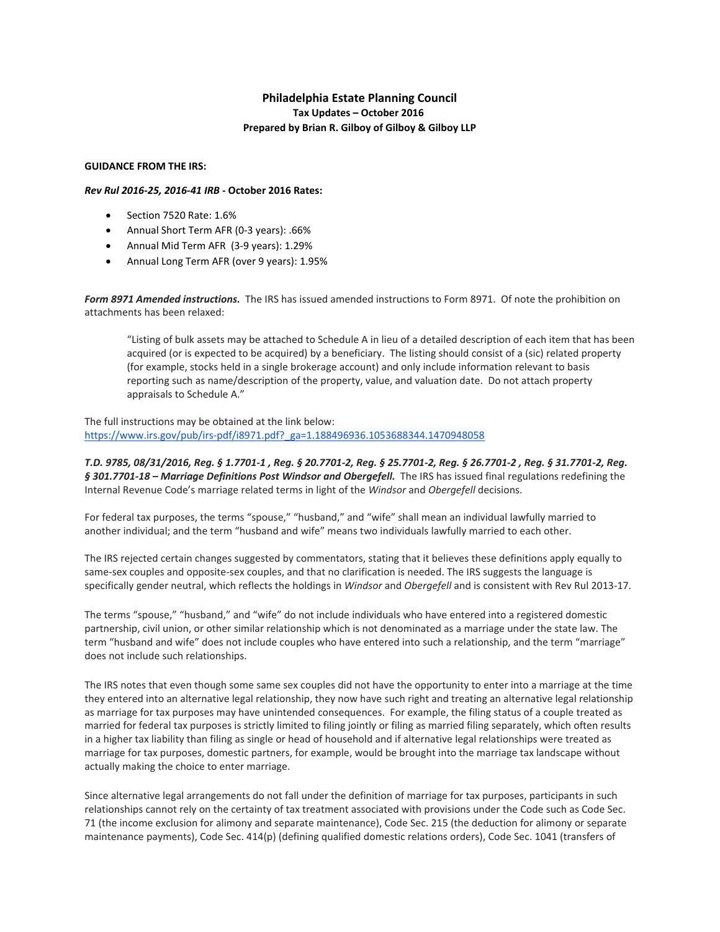## **Philadelphia Estate Planning Council Tax Updates – October 2016 Prepared by Brian R. Gilboy of Gilboy & Gilboy LLP**

## **GUIDANCE FROM THE IRS:**

## *Rev Rul 2016‐25, 2016‐41 IRB* **‐ October 2016 Rates:**

- Section 7520 Rate: 1.6%
- Annual Short Term AFR (0‐3 years): .66%
- Annual Mid Term AFR (3‐9 years): 1.29%
- Annual Long Term AFR (over 9 years): 1.95%

*Form 8971 Amended instructions.* The IRS has issued amended instructions to Form 8971. Of note the prohibition on attachments has been relaxed:

"Listing of bulk assets may be attached to Schedule A in lieu of a detailed description of each item that has been acquired (or is expected to be acquired) by a beneficiary. The listing should consist of a (sic) related property (for example, stocks held in a single brokerage account) and only include information relevant to basis reporting such as name/description of the property, value, and valuation date. Do not attach property appraisals to Schedule A."

The full instructions may be obtained at the link below: https://www.irs.gov/pub/irs-pdf/i8971.pdf?\_ga=1.188496936.1053688344.1470948058

T.D. 9785, 08/31/2016, Req. § 1.7701-1, Req. § 20.7701-2, Req. § 25.7701-2, Req. § 26.7701-2, Req. § 31.7701-2, Req. *§ 301.7701‐18 – Marriage Definitions Post Windsor and Obergefell.* The IRS has issued final regulations redefining the Internal Revenue Code's marriage related terms in light of the *Windsor* and *Obergefell* decisions.

For federal tax purposes, the terms "spouse," "husband," and "wife" shall mean an individual lawfully married to another individual; and the term "husband and wife" means two individuals lawfully married to each other.

The IRS rejected certain changes suggested by commentators, stating that it believes these definitions apply equally to same‐sex couples and opposite‐sex couples, and that no clarification is needed. The IRS suggests the language is specifically gender neutral, which reflects the holdings in *Windsor* and *Obergefell* and is consistent with Rev Rul 2013‐17.

The terms "spouse," "husband," and "wife" do not include individuals who have entered into a registered domestic partnership, civil union, or other similar relationship which is not denominated as a marriage under the state law. The term "husband and wife" does not include couples who have entered into such a relationship, and the term "marriage" does not include such relationships.

The IRS notes that even though some same sex couples did not have the opportunity to enter into a marriage at the time they entered into an alternative legal relationship, they now have such right and treating an alternative legal relationship as marriage for tax purposes may have unintended consequences. For example, the filing status of a couple treated as married for federal tax purposes is strictly limited to filing jointly or filing as married filing separately, which often results in a higher tax liability than filing as single or head of household and if alternative legal relationships were treated as marriage for tax purposes, domestic partners, for example, would be brought into the marriage tax landscape without actually making the choice to enter marriage.

Since alternative legal arrangements do not fall under the definition of marriage for tax purposes, participants in such relationships cannot rely on the certainty of tax treatment associated with provisions under the Code such as Code Sec. 71 (the income exclusion for alimony and separate maintenance), Code Sec. 215 (the deduction for alimony or separate maintenance payments), Code Sec. 414(p) (defining qualified domestic relations orders), Code Sec. 1041 (transfers of